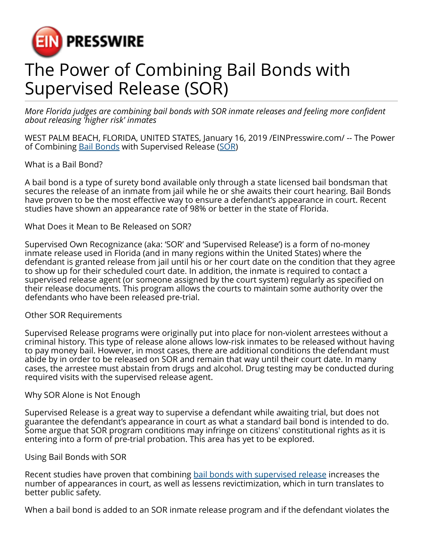

# The Power of Combining Bail Bonds with Supervised Release (SOR)

*More Florida judges are combining bail bonds with SOR inmate releases and feeling more confident about releasing 'higher risk' inmates*

WEST PALM BEACH, FLORIDA, UNITED STATES, January 16, 2019 [/EINPresswire.com/](http://www.einpresswire.com) -- The Power of Combining [Bail Bonds](http://www.bailbondsnow.org/) with Supervised Release ([SOR](https://www.bailbondsnow.org/what-is-sor/))

What is a Bail Bond?

A bail bond is a type of surety bond available only through a state licensed bail bondsman that secures the release of an inmate from jail while he or she awaits their court hearing. Bail Bonds have proven to be the most effective way to ensure a defendant's appearance in court. Recent studies have shown an appearance rate of 98% or better in the state of Florida.

What Does it Mean to Be Released on SOR?

Supervised Own Recognizance (aka: 'SOR' and 'Supervised Release') is a form of no-money inmate release used in Florida (and in many regions within the United States) where the defendant is granted release from jail until his or her court date on the condition that they agree to show up for their scheduled court date. In addition, the inmate is required to contact a supervised release agent (or someone assigned by the court system) regularly as specified on their release documents. This program allows the courts to maintain some authority over the defendants who have been released pre-trial.

### Other SOR Requirements

Supervised Release programs were originally put into place for non-violent arrestees without a criminal history. This type of release alone allows low-risk inmates to be released without having to pay money bail. However, in most cases, there are additional conditions the defendant must abide by in order to be released on SOR and remain that way until their court date. In many cases, the arrestee must abstain from drugs and alcohol. Drug testing may be conducted during required visits with the supervised release agent.

### Why SOR Alone is Not Enough

Supervised Release is a great way to supervise a defendant while awaiting trial, but does not guarantee the defendant's appearance in court as what a standard bail bond is intended to do. Some argue that SOR program conditions may infringe on citizens' constitutional rights as it is entering into a form of pre-trial probation. This area has yet to be explored.

### Using Bail Bonds with SOR

Recent studies have proven that combining [bail bonds with supervised release](https://www.bailbondsnow.org/about/how-it-works/) increases the number of appearances in court, as well as lessens revictimization, which in turn translates to better public safety.

When a bail bond is added to an SOR inmate release program and if the defendant violates the